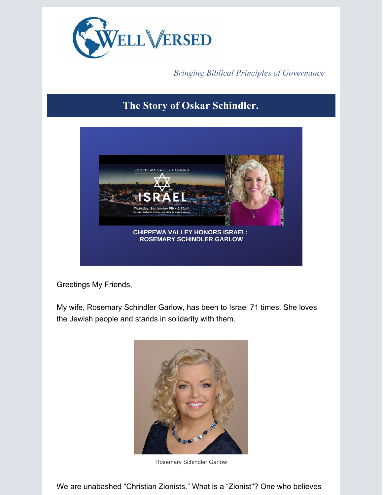

*Bringing Biblical Principles of Governance*

## **The Story of Oskar Schindler.**



Greetings My Friends,

My wife, Rosemary Schindler Garlow, has been to Israel 71 times. She loves the Jewish people and stands in solidarity with them.



Rosemary Schindler Garlow

We are unabashed "Christian Zionists." What is a "Zionist"? One who believes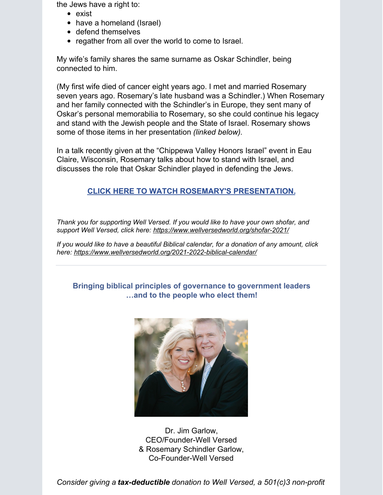the Jews have a right to:

- exist
- have a homeland (Israel)
- defend themselves
- regather from all over the world to come to Israel.

My wife's family shares the same surname as Oskar Schindler, being connected to him.

(My first wife died of cancer eight years ago. I met and married Rosemary seven years ago. Rosemary's late husband was a Schindler.) When Rosemary and her family connected with the Schindler's in Europe, they sent many of Oskar's personal memorabilia to Rosemary, so she could continue his legacy and stand with the Jewish people and the State of Israel. Rosemary shows some of those items in her presentation *(linked below)*.

In a talk recently given at the "Chippewa Valley Honors Israel" event in Eau Claire, Wisconsin, Rosemary talks about how to stand with Israel, and discusses the role that Oskar Schindler played in defending the Jews.

## **CLICK HERE TO WATCH ROSEMARY'S [PRESENTATION.](https://app.videosquirrel.app/watch/2041)**

*Thank you for supporting Well Versed. If you would like to have your own shofar, and support Well Versed, click here: <https://www.wellversedworld.org/shofar-2021/>*

*If you would like to have a beautiful Biblical calendar, for a donation of any amount, click here: <https://www.wellversedworld.org/2021-2022-biblical-calendar/>*

## **Bringing biblical principles of governance to government leaders …and to the people who elect them!**



Dr. Jim Garlow, CEO/Founder-Well Versed & Rosemary Schindler Garlow, Co-Founder-Well Versed

*Consider giving a tax-deductible donation to Well Versed, a 501(c)3 non-profit*